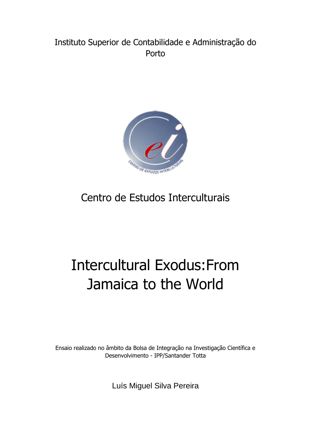# Instituto Superior de Contabilidade e Administração do Porto



# Centro de Estudos Interculturais

# Intercultural Exodus:From Jamaica to the World

Ensaio realizado no âmbito da Bolsa de Integração na Investigação Científica e Desenvolvimento - IPP/Santander Totta

Luís Miguel Silva Pereira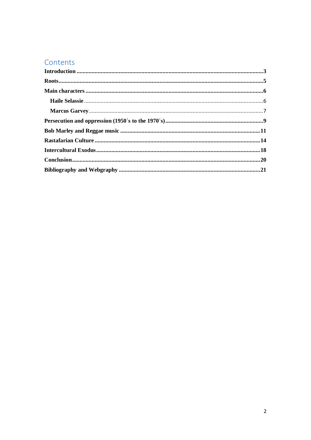## Contents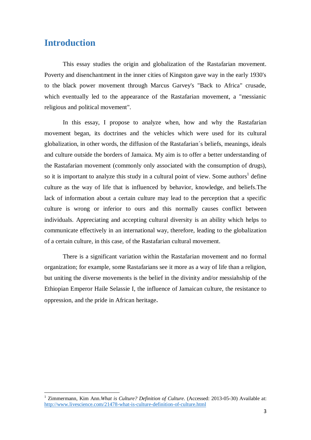#### <span id="page-2-0"></span>**Introduction**

 $\overline{a}$ 

This essay studies the origin and globalization of the Rastafarian movement. Poverty and disenchantment in the inner cities of Kingston gave way in the early 1930's to the black power movement through Marcus Garvey's "Back to Africa" crusade, which eventually led to the appearance of the Rastafarian movement, a "messianic religious and political movement".

In this essay, I propose to analyze when, how and why the Rastafarian movement began, its doctrines and the vehicles which were used for its cultural globalization, in other words, the diffusion of the Rastafarian´s beliefs, meanings, ideals and culture outside the borders of Jamaica. My aim is to offer a better understanding of the Rastafarian movement (commonly only associated with the consumption of drugs), so it is important to analyze this study in a cultural point of view. Some authors<sup>1</sup> define culture as the way of life that is influenced by behavior, knowledge, and beliefs.The lack of information about a certain culture may lead to the perception that a specific culture is wrong or inferior to ours and this normally causes conflict between individuals. Appreciating and accepting cultural diversity is an ability which helps to communicate effectively in an international way, therefore, leading to the globalization of a certain culture, in this case, of the Rastafarian cultural movement.

There is a significant variation within the Rastafarian movement and no formal organization; for example, some Rastafarians see it more as a way of life than a religion, but uniting the diverse movements is the belief in the divinity and/or messiahship of the Ethiopian Emperor Haile Selassie I, the influence of Jamaican culture, the resistance to oppression, and the pride in African heritage.

<sup>&</sup>lt;sup>1</sup> Zimmermann, Kim Ann. What is Culture? Definition of Culture. (Accessed: 2013-05-30) Available at: <http://www.livescience.com/21478-what-is-culture-definition-of-culture.html>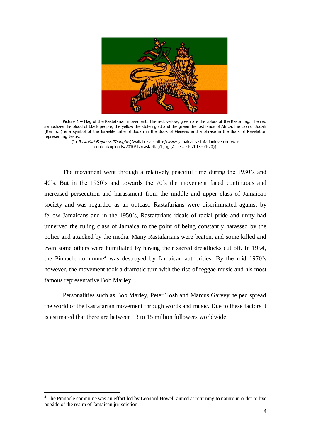

Picture 1 – Flag of the Rastafarian movement: The red, yellow, green are the colors of the Rasta flag. The red symbolizes the blood of black people, the yellow the stolen gold and the green the lost lands of Africa.The Lion of Judah (Rev 5:5) is a symbol of the Israelite tribe of Judah in the Book of Genesis and a phrase in the Book of Revelation representing Jesus.

(In Rastafari Empress Thoughts)Available at: http://www.jamaicanrastafarianlove.com/wpcontent/uploads/2010/12/rasta-flag1.jpg (Accessed: 2013-04-20))

The movement went through a relatively peaceful time during the 1930's and 40's. But in the 1950's and towards the 70's the movement faced continuous and increased persecution and harassment from the middle and upper class of Jamaican society and was regarded as an outcast. Rastafarians were discriminated against by fellow Jamaicans and in the 1950´s, Rastafarians ideals of racial pride and unity had unnerved the ruling class of Jamaica to the point of being constantly harassed by the police and attacked by the media. Many Rastafarians were beaten, and some killed and even some others were humiliated by having their sacred dreadlocks cut off. In 1954, the Pinnacle commune<sup>2</sup> was destroyed by Jamaican authorities. By the mid  $1970$ 's however, the movement took a dramatic turn with the rise of reggae music and his most famous representative Bob Marley.

Personalities such as Bob Marley, Peter Tosh and Marcus Garvey helped spread the world of the Rastafarian movement through words and music. Due to these factors it is estimated that there are between 13 to 15 million followers worldwide.

 $2$  The Pinnacle commune was an effort led by Leonard Howell aimed at returning to nature in order to live outside of the realm of Jamaican jurisdiction.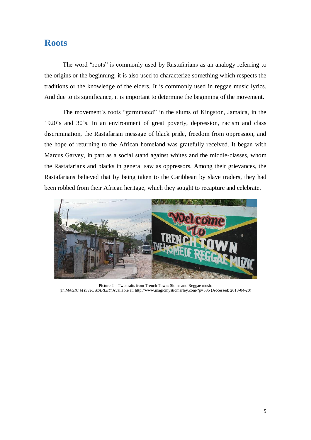#### <span id="page-4-0"></span>**Roots**

The word "roots" is commonly used by Rastafarians as an analogy referring to the origins or the beginning; it is also used to characterize something which respects the traditions or the knowledge of the elders. It is commonly used in reggae music lyrics. And due to its significance, it is important to determine the beginning of the movement.

The movement´s roots "germinated" in the slums of Kingston, Jamaica, in the 1920's and 30's. In an environment of great poverty, depression, racism and class discrimination, the Rastafarian message of black pride, freedom from oppression, and the hope of returning to the African homeland was gratefully received. It began with Marcus Garvey, in part as a social stand against whites and the middle-classes, whom the Rastafarians and blacks in general saw as oppressors. Among their grievances, the Rastafarians believed that by being taken to the Caribbean by slave traders, they had been robbed from their African heritage, which they sought to recapture and celebrate.



Picture 2 – Two traits from Trench Town: Slums and Reggae music (In *MAGIC MYSTIC MARLEY*)Available at: http://www.magicmysticmarley.com/?p=535 (Accessed: 2013-04-20)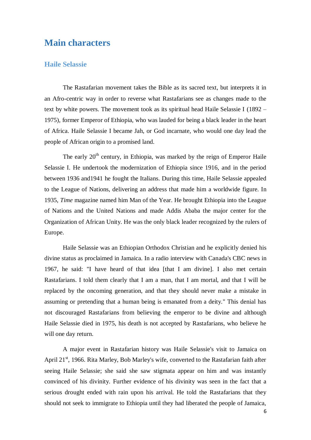## <span id="page-5-0"></span>**Main characters**

#### <span id="page-5-1"></span>**Haile Selassie**

The Rastafarian movement takes the Bible as its sacred text, but interprets it in an Afro-centric way in order to reverse what Rastafarians see as changes made to the text by white powers. The movement took as its spiritual head Haile Selassie I (1892 – 1975), former Emperor of Ethiopia, who was lauded for being a black leader in the heart of Africa. Haile Selassie I became Jah, or God incarnate, who would one day lead the people of African origin to a promised land.

The early  $20<sup>th</sup>$  century, in Ethiopia, was marked by the reign of Emperor Haile Selassie I. He undertook the modernization of Ethiopia since 1916, and in the period between 1936 and1941 he fought the Italians. During this time, Haile Selassie appealed to the League of Nations, delivering an address that made him a worldwide figure. In 1935, *Time* magazine named him Man of the Year. He brought Ethiopia into the League of Nations and the United Nations and made Addis Ababa the major center for the Organization of African Unity. He was the only black leader recognized by the rulers of Europe.

Haile Selassie was an Ethiopian Orthodox Christian and he explicitly denied his divine status as proclaimed in Jamaica. In a radio interview with Canada's CBC news in 1967, he said: "I have heard of that idea [that I am divine]. I also met certain Rastafarians. I told them clearly that I am a man, that I am mortal, and that I will be replaced by the oncoming generation, and that they should never make a mistake in assuming or pretending that a human being is emanated from a deity." This denial has not discouraged Rastafarians from believing the emperor to be divine and although Haile Selassie died in 1975, his death is not accepted by Rastafarians, who believe he will one day return.

A major event in Rastafarian history was Haile Selassie's visit to Jamaica on April 21 $\mathrm{^{st}}$ , 1966. Rita Marley, Bob Marley's wife, converted to the Rastafarian faith after seeing Haile Selassie; she said she saw stigmata appear on him and was instantly convinced of his divinity. Further evidence of his divinity was seen in the fact that a serious drought ended with rain upon his arrival. He told the Rastafarians that they should not seek to immigrate to Ethiopia until they had liberated the people of Jamaica,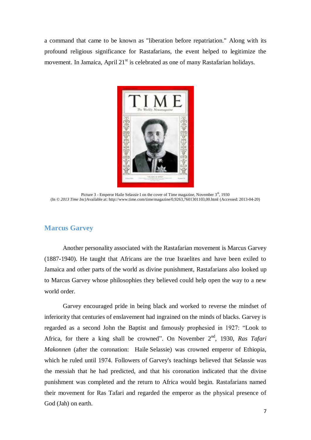a command that came to be known as "liberation before repatriation." Along with its profound religious significance for Rastafarians, the event helped to legitimize the movement. In Jamaica, April  $21<sup>st</sup>$  is celebrated as one of many Rastafarian holidays.



Picture 3 - Emperor Haile Selassie I on the cover of Time magazine, November  $3<sup>th</sup>$ , 1930 (In *© 2013 Time Inc)*Available at: http://www.time.com/time/magazine/0,9263,7601301103,00.html (Accessed: 2013-04-20)

#### <span id="page-6-0"></span>**Marcus Garvey**

Another personality associated with the Rastafarian movement is Marcus Garvey (1887-1940). He taught that Africans are the true Israelites and have been exiled to Jamaica and other parts of the world as divine punishment, Rastafarians also looked up to Marcus Garvey whose philosophies they believed could help open the way to a new world order.

Garvey encouraged pride in being black and worked to reverse the mindset of inferiority that centuries of enslavement had ingrained on the minds of blacks. Garvey is regarded as a second John the Baptist and famously prophesied in 1927: "Look to Africa, for there a king shall be crowned". On November 2<sup>nd</sup>, 1930, *Ras Tafari Makonnen* (after the coronation: Haile Selassie) was crowned emperor of Ethiopia, which he ruled until 1974. Followers of Garvey's teachings believed that Selassie was the messiah that he had predicted, and that his coronation indicated that the divine punishment was completed and the return to Africa would begin. Rastafarians named their movement for Ras Tafari and regarded the emperor as the physical presence of God (Jah) on earth.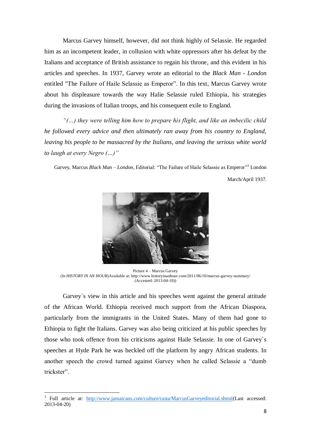Marcus Garvey himself, however, did not think highly of Selassie. He regarded him as an incompetent leader, in collusion with white oppressors after his defeat by the Italians and acceptance of British assistance to regain his throne, and this evident in his articles and speeches. In 1937, Garvey wrote an editorial to the *Black Man - London* entitled "The Failure of Haile Selassie as Emperor". In this text, Marcus Garvey wrote about his displeasure towards the way Halie Selassie ruled Ethiopia, his strategies during the invasions of Italian troops, and his consequent exile to England.

*"(…) they were telling him how to prepare his flight, and like an imbecilic child he followed every advice and then ultimately ran away from his country to England, leaving his people to be massacred by the Italians, and leaving the serious white world to laugh at every Negro (…)"* 

Garvey, Marcus *Black Man - London*, Editorial: "The Failure of Haile Selassie as Emperor"<sup>3</sup> London

March/April 1937.



Picture 4 – Marcus Garvey (In *HISTORY IN AN HOUR*)Available at: http://www.historyinanhour.com/2011/06/10/marcus-garvey-summary/ (Accessed: 2013-04-10))

Garvey´s view in this article and his speeches went against the general attitude of the African World. Ethiopia received much support from the African Diaspora, particularly from the immigrants in the United States. Many of them had gone to Ethiopia to fight the Italians. Garvey was also being criticized at his public speeches by those who took offence from his criticisms against Haile Selassie. In one of Garvey´s speeches at Hyde Park he was heckled off the platform by angry African students. In another speech the crowd turned against Garvey when he called Selassie a "dumb trickster".

<sup>&</sup>lt;sup>3</sup> Full article at: [http://www.jamaicans.com/culture/rasta/MarcusGarveyeditorial.shtml\(](http://www.jamaicans.com/culture/rasta/MarcusGarveyeditorial.shtml)Last accessed: 2013-04-20)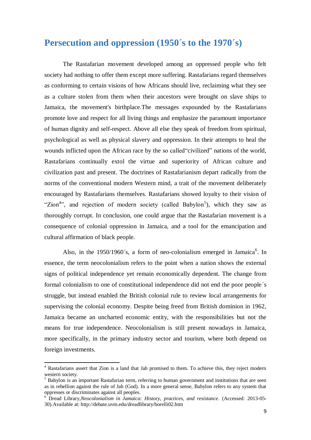### <span id="page-8-0"></span>**Persecution and oppression (1950´s to the 1970´s)**

The Rastafarian movement developed among an oppressed people who felt society had nothing to offer them except more suffering. Rastafarians regard themselves as conforming to certain visions of how Africans should live, reclaiming what they see as a culture stolen from them when their ancestors were brought on slave ships to Jamaica, the movement's birthplace.The messages expounded by the Rastafarians promote love and respect for all living things and emphasize the paramount importance of human dignity and self-respect. Above all else they speak of freedom from spiritual, psychological as well as physical slavery and oppression. In their attempts to heal the wounds inflicted upon the African race by the so called"civilized" nations of the world, Rastafarians continually extol the virtue and superiority of African culture and civilization past and present. The doctrines of Rastafarianism depart radically from the norms of the conventional modern Western mind, a trait of the movement deliberately encouraged by Rastafarians themselves. Rastafarians showed loyalty to their vision of "Zion<sup>4</sup>", and rejection of modern society (called Babylon<sup>5</sup>), which they saw as thoroughly corrupt. In conclusion, one could argue that the Rastafarian movement is a consequence of colonial oppression in Jamaica, and a tool for the emancipation and cultural affirmation of black people.

Also, in the 1950/1960's, a form of neo-colonialism emerged in Jamaica<sup>6</sup>. In essence, the term neocolonialism refers to the point when a nation shows the external signs of political independence yet remain economically dependent. The change from formal colonialism to one of constitutional independence did not end the poor people´s struggle, but instead enabled the British colonial rule to review local arrangements for supervising the colonial economy. Despite being freed from British dominion in 1962, Jamaica became an uncharted economic entity, with the responsibilities but not the means for true independence. Neocolonialism is still present nowadays in Jamaica, more specifically, in the primary industry sector and tourism, where both depend on foreign investments.

<sup>4</sup> Rastafarians assert that Zion is a land that Jah promised to them. To achieve this, they reject modern western society.

 $<sup>5</sup>$  Babylon is an important Rastafarian term, referring to human government and institutions that are seen</sup> as in rebellion against the rule of Jah (God). In a more general sense, Babylon refers to any system that oppresses or discriminates against all peoples.

<sup>6</sup> Dread Library,*Neocolonialism in Jamaica: History, practices, and resistance*. (Accessed: 2013-05- 30).Available at: http://debate.uvm.edu/dreadlibrary/borelli02.htm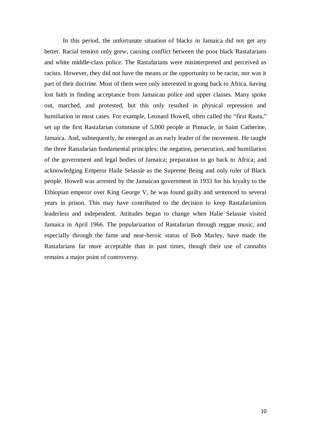In this period, the unfortunate situation of blacks in Jamaica did not get any better. Racial tension only grew, causing conflict between the poor black Rastafarians and white middle-class police. The Rastafarians were misinterpreted and perceived as racists. However, they did not have the means or the opportunity to be racist, nor was it part of their doctrine. Most of them were only interested in going back to Africa, having lost faith in finding acceptance from Jamaican police and upper classes. Many spoke out, marched, and protested, but this only resulted in physical repression and humiliation in most cases. For example, Leonard Howell, often called the "first Rasta," set up the first Rastafarian commune of 5,000 people at Pinnacle, in Saint Catherine, Jamaica. And, subsequently, he emerged as an early leader of the movement. He taught the three Rastafarian fundamental principles: the negation, persecution, and humiliation of the government and legal bodies of Jamaica; preparation to go back to Africa; and acknowledging Emperor Haile Selassie as the Supreme Being and only ruler of Black people. Howell was arrested by the Jamaican government in 1933 for his loyalty to the Ethiopian emperor over King George V, he was found guilty and sentenced to several years in prison. This may have contributed to the decision to keep Rastafarianism leaderless and independent. Attitudes began to change when Halie Selassie visited Jamaica in April 1966. The popularization of Rastafarian through reggae music, and especially through the fame and near-heroic status of Bob Marley, have made the Rastafarians far more acceptable than in past times, though their use of cannabis remains a major point of controversy.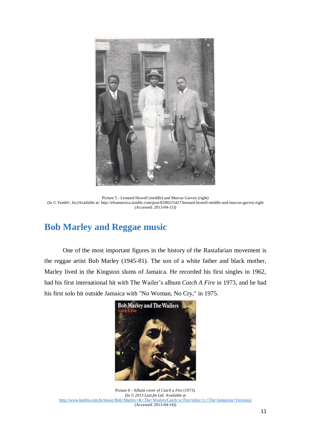

Picture 5 - Leonard Howell (middle) and Marcus Garvey (right) (In *© Tumblr, Inc)*Available at: http://elisamexica.tumblr.com/post/6590215427/leonard-howell-middle-and-marcus-garvey-right (Accessed: 2013-04-15))

# <span id="page-10-0"></span>**Bob Marley and Reggae music**

One of the most important figures in the history of the Rastafarian movement is the reggae artist Bob Marley (1945-81). The son of a white father and black mother, Marley lived in the Kingston slums of Jamaica. He recorded his first singles in 1962, had his first international hit with The Wailer's album *Catch A Fire* in 1973, and he had his first solo hit outside Jamaica with "No Woman, No Cry," in 1975.



Picture 6 - Album cover of *Catch a Fire* (1973). (In *© 2013 Last.fm Ltd.* Available at [http://www.lastfm.com.br/music/Bob+Marley+&+The+Wailers/Catch+a+Fire+\(disc+1:+The+Jamaican+Versions\)](http://www.lastfm.com.br/music/Bob+Marley+&+The+Wailers/Catch+a+Fire+(disc+1:+The+Jamaican+Versions)) (Accessed: 2013-04-14))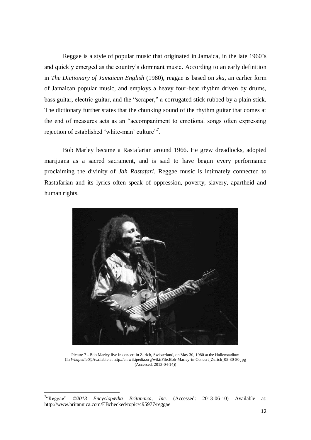Reggae is a style of popular music that originated in Jamaica, in the late 1960's and quickly emerged as the country's dominant music. According to an early definition in *The Dictionary of Jamaican English* (1980), reggae is based on *ska*, an earlier form of Jamaican popular music, and employs a heavy four-beat rhythm driven by drums, bass guitar, electric guitar, and the "scraper," a corrugated stick rubbed by a plain stick. The dictionary further states that the chunking sound of the rhythm guitar that comes at the end of measures acts as an "accompaniment to emotional songs often expressing rejection of established 'white-man' culture"<sup>7</sup>.

Bob Marley became a Rastafarian around 1966. He grew dreadlocks, adopted marijuana as a sacred sacrament, and is said to have begun every performance proclaiming the divinity of *Jah Rastafari*. Reggae music is intimately connected to Rastafarian and its lyrics often speak of oppression, poverty, slavery, apartheid and human rights.



Picture 7 - Bob Marley live in concert in Zurich, Switzerland, on May 30, 1980 at the Hallenstadium (In *Wikipedia®)*Available at http://en.wikipedia.org/wiki/File:Bob-Marley-in-Concert\_Zurich\_05-30-80.jpg (Accessed: 2013-04-14))

 $7^\circ$ Reggae" ©2013 Encyclopædia Britannica, Inc. (Accessed: 2013-06-10) Available at: http://www.britannica.com/EBchecked/topic/495977/reggae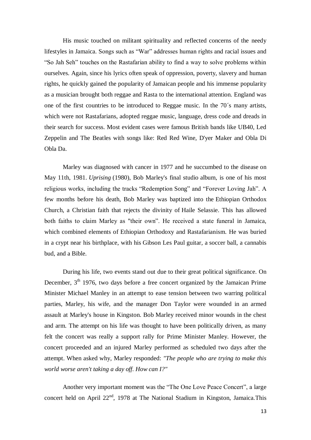His music touched on militant spirituality and reflected concerns of the needy lifestyles in Jamaica. Songs such as "War" addresses human rights and racial issues and "So Jah Seh" touches on the Rastafarian ability to find a way to solve problems within ourselves. Again, since his lyrics often speak of oppression, poverty, slavery and human rights, he quickly gained the popularity of Jamaican people and his immense popularity as a musician brought both reggae and Rasta to the international attention. England was one of the first countries to be introduced to Reggae music. In the 70´s many artists, which were not Rastafarians, adopted reggae music, language, dress code and dreads in their search for success. Most evident cases were famous British bands like UB40, Led Zeppelin and The Beatles with songs like: Red Red Wine, D'yer Maker and Obla Di Obla Da.

Marley was diagnosed with cancer in 1977 and he succumbed to the disease on May 11th, 1981. *Uprising* (1980), Bob Marley's final studio album, is one of his most religious works, including the tracks "Redemption Song" and "Forever Loving Jah". A few months before his death, Bob Marley was baptized into the Ethiopian Orthodox Church, a Christian faith that rejects the divinity of Haile Selassie. This has allowed both faiths to claim Marley as "their own". He received a state funeral in Jamaica, which combined elements of Ethiopian Orthodoxy and Rastafarianism. He was buried in a crypt near his birthplace, with his Gibson Les Paul guitar, a soccer ball, a cannabis bud, and a Bible.

During his life, two events stand out due to their great political significance. On December, 3<sup>th</sup> 1976, two days before a free concert organized by the Jamaican Prime Minister Michael Manley in an attempt to ease tension between two warring political parties, Marley, his wife, and the manager Don Taylor were wounded in an armed assault at Marley's house in Kingston. Bob Marley received minor wounds in the chest and arm. The attempt on his life was thought to have been politically driven, as many felt the concert was really a support rally for Prime Minister Manley. However, the concert proceeded and an injured Marley performed as scheduled two days after the attempt. When asked why, Marley responded: *"The people who are trying to make this world worse aren't taking a day off. How can I?"*

Another very important moment was the "The One Love Peace Concert", a large concert held on April 22<sup>nd</sup>, 1978 at The National Stadium in Kingston, Jamaica.This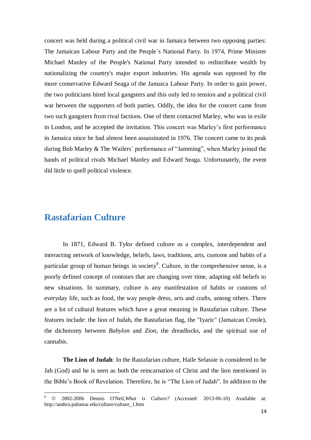concert was held during a political civil war in Jamaica between two opposing parties: The Jamaican Labour Party and the People´s National Party. In 1974, Prime Minister Michael Manley of the People's National Party intended to redistribute wealth by nationalizing the country's major export industries. His agenda was opposed by the more conservative Edward Seaga of the Jamaica Labour Party. In order to gain power, the two politicians hired local gangsters and this only led to tension and a political civil war between the supporters of both parties. Oddly, the idea for the concert came from two such gangsters from rival factions. One of them contacted Marley, who was in exile in London, and he accepted the invitation. This concert was Marley's first performance in Jamaica since he had almost been assassinated in 1976. The concert came to its peak during Bob Marley & The Wailers´ performance of "Jamming", when Marley joined the hands of political rivals Michael Manley and Edward Seaga. Unfortunately, the event did little to quell political violence.

## <span id="page-13-0"></span>**Rastafarian Culture**

 $\overline{a}$ 

In 1871, Edward B. Tylor defined culture as a complex, interdependent and interacting network of knowledge, beliefs, laws, traditions, arts, customs and habits of a particular group of human beings in society<sup>8</sup>. Culture, in the comprehensive sense, is a poorly defined concept of contours that are changing over time, adapting old beliefs to new situations. In summary, culture is any manifestation of habits or customs of everyday life, such as food, the way people dress, arts and crafts, among others. There are a lot of cultural features which have a great meaning in Rastafarian culture. These features include: the lion of Judah, the Rastafarian flag, the "Iyaric" (Jamaican Creole), the dichotomy between *Babylon* and *Zion*, the dreadlocks, and the spiritual use of cannabis.

**The Lion of Judah**: In the Rastafarian culture, Haile Selassie is considered to be Jah (God) and he is seen as both the reincarnation of Christ and the lion mentioned in the Bible's Book of Revelation. Therefore, he is "The Lion of Judah". In addition to the

<sup>8</sup> © 2002-2006 Dennis O'Neil,*What is Culture?* (Accessed: 2013-06-10) Available at: http://anthro.palomar.edu/culture/culture\_1.htm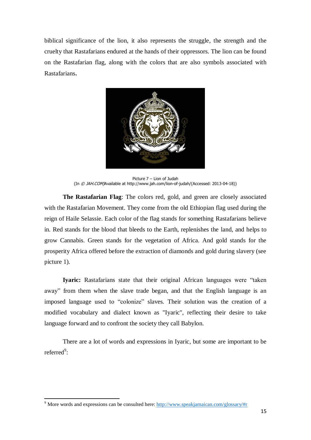biblical significance of the lion, it also represents the struggle, the strength and the cruelty that Rastafarians endured at the hands of their oppressors. The lion can be found on the Rastafarian flag, along with the colors that are also symbols associated with Rastafarians.



Picture 7 – Lion of Judah (In © JAH.COM)Available at http://www.jah.com/lion-of-judah/(Accessed: 2013-04-18))

**The Rastafarian Flag**: The colors red, gold, and green are closely associated with the Rastafarian Movement. They come from the old Ethiopian flag used during the reign of Haile Selassie. Each color of the flag stands for something Rastafarians believe in. Red stands for the blood that bleeds to the Earth, replenishes the land, and helps to grow Cannabis. Green stands for the vegetation of Africa. And gold stands for the prosperity Africa offered before the extraction of diamonds and gold during slavery (see picture 1).

**Iyaric:** Rastafarians state that their original African languages were "taken away" from them when the slave trade began, and that the English language is an imposed language used to "colonize" slaves. Their solution was the creation of a modified vocabulary and dialect known as "Iyaric", reflecting their desire to take language forward and to confront the society they call Babylon.

There are a lot of words and expressions in Iyaric, but some are important to be referred<sup>9</sup>:

<sup>9</sup> More words and expressions can be consulted here[: http://www.speakjamaican.com/glossary/#r](http://www.speakjamaican.com/glossary/#r)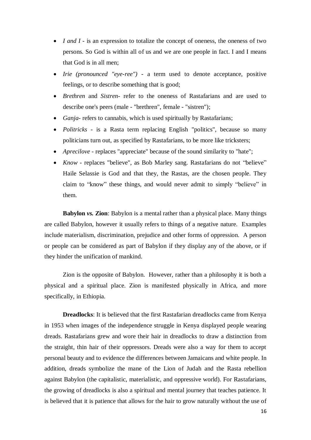- *I and I* is an expression to totalize the concept of oneness, the oneness of two persons. So God is within all of us and we are one people in fact. I and I means that God is in all men;
- *Irie (pronounced "eye-ree")* a term used to denote acceptance, positive feelings, or to describe something that is good;
- *Brethren* and *Sistren* refer to the oneness of Rastafarians and are used to describe one's peers (male - "brethren", female - "sistren");
- *Ganja* refers to cannabis, which is used spiritually by Rastafarians;
- *Politricks* is a Rasta term replacing English "politics", because so many politicians turn out, as specified by Rastafarians, to be more like tricksters;
- *Aprecilove* replaces "appreciate" because of the sound similarity to "hate";
- *Know* replaces "believe", as Bob Marley sang. Rastafarians do not "believe" Haile Selassie is God and that they, the Rastas, are the chosen people. They claim to "know" these things, and would never admit to simply "believe" in them.

**Babylon** *vs.* **Zion**: Babylon is a mental rather than a physical place. Many things are called Babylon, however it usually refers to things of a negative nature. Examples include materialism, discrimination, prejudice and other forms of oppression. A person or people can be considered as part of Babylon if they display any of the above, or if they hinder the unification of mankind.

Zion is the opposite of Babylon. However, rather than a philosophy it is both a physical and a spiritual place. Zion is manifested physically in Africa, and more specifically, in Ethiopia.

**Dreadlocks**: It is believed that the first Rastafarian dreadlocks came from Kenya in 1953 when images of the independence struggle in Kenya displayed people wearing dreads. Rastafarians grew and wore their hair in dreadlocks to draw a distinction from the straight, thin hair of their oppressors. Dreads were also a way for them to accept personal beauty and to evidence the differences between Jamaicans and white people. In addition, dreads symbolize the mane of the Lion of Judah and the Rasta rebellion against Babylon (the capitalistic, materialistic, and oppressive world). For Rastafarians, the growing of dreadlocks is also a spiritual and mental journey that teaches patience. It is believed that it is patience that allows for the hair to grow naturally without the use of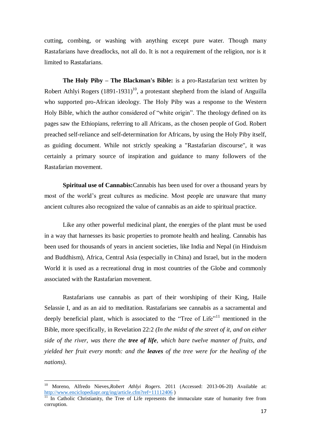cutting, combing, or washing with anything except pure water. Though many Rastafarians have dreadlocks, not all do. It is not a requirement of the religion, nor is it limited to Rastafarians.

**The Holy Piby – The Blackman's Bible:** is a pro-Rastafarian text written by Robert Athlyi Rogers  $(1891-1931)^{10}$ , a protestant shepherd from the island of Anguilla who supported pro-African ideology. The Holy Piby was a response to the Western Holy Bible, which the author considered of "white origin". The theology defined on its pages saw the Ethiopians, referring to all Africans, as the chosen people of God. Robert preached self-reliance and self-determination for Africans, by using the Holy Piby itself, as guiding document. While not strictly speaking a "Rastafarian discourse", it was certainly a primary source of inspiration and guidance to many followers of the Rastafarian movement.

**Spiritual use of Cannabis:**Cannabis has been used for over a thousand years by most of the world's great cultures as medicine. Most people are unaware that many ancient cultures also recognized the value of cannabis as an aide to spiritual practice.

Like any other powerful medicinal plant, the energies of the plant must be used in a way that harnesses its basic properties to promote health and healing. Cannabis has been used for thousands of years in ancient societies, like India and Nepal (in Hinduism and Buddhism), Africa, Central Asia (especially in China) and Israel, but in the modern World it is used as a recreational drug in most countries of the Globe and commonly associated with the Rastafarian movement.

Rastafarians use cannabis as part of their worshiping of their King, Haile Selassie I, and as an aid to meditation. Rastafarians see cannabis as a sacramental and deeply beneficial plant, which is associated to the "Tree of  $Life<sup>11</sup>$  mentioned in the Bible, more specifically, in Revelation 22:2 *(In the midst of the street of it, and on either side of the river, was there the tree of life, which bare twelve manner of fruits, and yielded her fruit every month: and the leaves of the tree were for the healing of the nations)*.

<sup>10</sup> Moreno, Alfredo Nieves,*Robert Athlyi Rogers*. 2011 (Accessed: 2013-06-20) Available at: <http://www.enciclopediapr.org/ing/article.cfm?ref=11112406> )

 $\frac{11}{11}$  In Catholic Christianity, the Tree of Life represents the immaculate state of humanity free from corruption.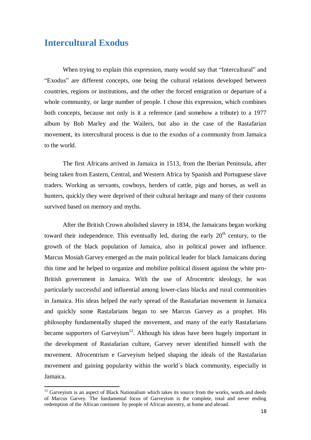#### <span id="page-17-0"></span>**Intercultural Exodus**

 $\overline{a}$ 

When trying to explain this expression, many would say that "Intercultural" and "Exodus" are different concepts, one being the cultural relations developed between countries, regions or institutions, and the other the forced emigration or departure of a whole community, or large number of people. I chose this expression, which combines both concepts, because not only is it a reference (and somehow a tribute) to a 1977 album by Bob Marley and the Wailers, but also in the case of the Rastafarian movement, its intercultural process is due to the exodus of a community from Jamaica to the world.

The first Africans arrived in Jamaica in 1513, from the Iberian Peninsula, after being taken from Eastern, Central, and Western Africa by Spanish and Portuguese slave traders. Working as servants, cowboys, herders of cattle, pigs and horses, as well as hunters, quickly they were deprived of their cultural heritage and many of their customs survived based on memory and myths.

After the British Crown abolished slavery in 1834, the Jamaicans began working toward their independence. This eventually led, during the early  $20<sup>th</sup>$  century, to the growth of the black population of Jamaica, also in political power and influence. Marcus Mosiah Garvey emerged as the main political leader for black Jamaicans during this time and he helped to organize and mobilize political dissent against the white pro-British government in Jamaica. With the use of Afrocentric ideology, he was particularly successful and influential among lower-class blacks and rural communities in Jamaica. His ideas helped the early spread of the Rastafarian movement in Jamaica and quickly some Rastafarians began to see Marcus Garvey as a prophet. His philosophy fundamentally shaped the movement, and many of the early Rastafarians became supporters of Garveyism<sup>12</sup>. Although his ideas have been hugely important in the development of Rastafarian culture, Garvey never identified himself with the movement. Afrocentrism e Garveyism helped shaping the ideals of the Rastafarian movement and gaining popularity within the world´s black community, especially in Jamaica.

 $12$  Garveyism is an aspect of Black Nationalism which takes its source from the works, words and deeds of Marcus Garvey. The fundamental focus of Garveyism is the complete, total and never ending redemption of the African continent by people of African ancestry, at home and abroad.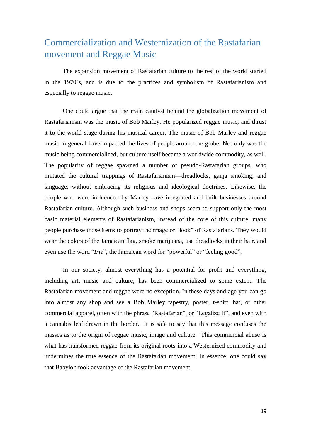# Commercialization and Westernization of the Rastafarian movement and Reggae Music

The expansion movement of Rastafarian culture to the rest of the world started in the 1970´s, and is due to the practices and symbolism of Rastafarianism and especially to reggae music.

One could argue that the main catalyst behind the globalization movement of Rastafarianism was the music of Bob Marley. He popularized reggae music, and thrust it to the world stage during his musical career. The music of Bob Marley and reggae music in general have impacted the lives of people around the globe. Not only was the music being commercialized, but culture itself became a worldwide commodity, as well. The popularity of reggae spawned a number of pseudo-Rastafarian groups, who imitated the cultural trappings of Rastafarianism—dreadlocks, ganja smoking, and language, without embracing its religious and ideological doctrines. Likewise, the people who were influenced by Marley have integrated and built businesses around Rastafarian culture. Although such business and shops seem to support only the most basic material elements of Rastafarianism, instead of the core of this culture, many people purchase those items to portray the image or "look" of Rastafarians. They would wear the colors of the Jamaican flag, smoke marijuana, use dreadlocks in their hair, and even use the word "*Irie*", the Jamaican word for "powerful" or "feeling good".

In our society, almost everything has a potential for profit and everything, including art, music and culture, has been commercialized to some extent. The Rastafarian movement and reggae were no exception. In these days and age you can go into almost any shop and see a Bob Marley tapestry, poster, t-shirt, hat, or other commercial apparel, often with the phrase "Rastafarian", or "Legalize It", and even with a cannabis leaf drawn in the border. It is safe to say that this message confuses the masses as to the origin of reggae music, image and culture. This commercial abuse is what has transformed reggae from its original roots into a Westernized commodity and undermines the true essence of the Rastafarian movement. In essence, one could say that Babylon took advantage of the Rastafarian movement.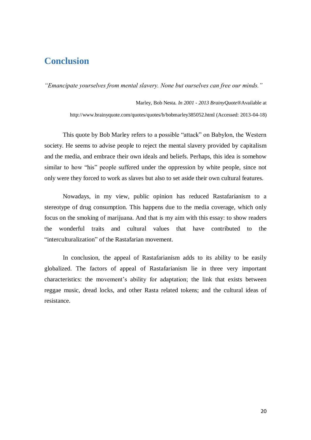### <span id="page-19-0"></span>**Conclusion**

*"Emancipate yourselves from mental slavery. None but ourselves can free our minds."*

Marley, Bob Nesta*. In 2001 - 2013 BrainyQuote®*Available at http://www.brainyquote.com/quotes/quotes/b/bobmarley385052.html (Accessed: 2013-04-18)

This quote by Bob Marley refers to a possible "attack" on Babylon, the Western society. He seems to advise people to reject the mental slavery provided by capitalism and the media, and embrace their own ideals and beliefs. Perhaps, this idea is somehow similar to how "his" people suffered under the oppression by white people, since not only were they forced to work as slaves but also to set aside their own cultural features.

Nowadays, in my view, public opinion has reduced Rastafarianism to a stereotype of drug consumption. This happens due to the media coverage, which only focus on the smoking of marijuana. And that is my aim with this essay: to show readers the wonderful traits and cultural values that have contributed to the "interculturalization" of the Rastafarian movement.

In conclusion, the appeal of Rastafarianism adds to its ability to be easily globalized. The factors of appeal of Rastafarianism lie in three very important characteristics: the movement's ability for adaptation; the link that exists between reggae music, dread locks, and other Rasta related tokens; and the cultural ideas of resistance.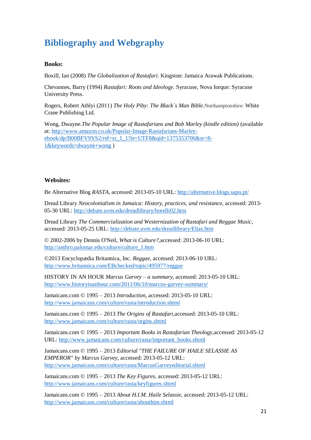# <span id="page-20-0"></span>**Bibliography and Webgraphy**

#### **Books:**

Boxill, Ian (2008) *The Globalization of Rastafari*. Kingston: Jamaica Arawak Publications.

Chevannes, Barry (1994) *Rastafari: Roots and Ideology*. Syracuse, Nova Iorque: Syracuse University Press.

Rogers, Robert Athlyi (2011) *The Holy Piby: The Black´s Man Bible*.Northamptonshire: White Crane Publishing Ltd.

Wong, Dwayne.*The Popular Image of Rastafarians and Bob Marley (kindle edition)* (available at: [http://www.amazon.co.uk/Popular-Image-Rastafarians-Marley](http://www.amazon.co.uk/Popular-Image-Rastafarians-Marley-ebook/dp/B00BFV9YS2/ref=sr_1_1?ie=UTF8&qid=1375353706&sr=8-1&keywords=dwayne+wong)[ebook/dp/B00BFV9YS2/ref=sr\\_1\\_1?ie=UTF8&qid=1375353706&sr=8-](http://www.amazon.co.uk/Popular-Image-Rastafarians-Marley-ebook/dp/B00BFV9YS2/ref=sr_1_1?ie=UTF8&qid=1375353706&sr=8-1&keywords=dwayne+wong) [1&keywords=dwayne+wong](http://www.amazon.co.uk/Popular-Image-Rastafarians-Marley-ebook/dp/B00BFV9YS2/ref=sr_1_1?ie=UTF8&qid=1375353706&sr=8-1&keywords=dwayne+wong) )

#### **Websites:**

Be Alternative Blog *RASTA*, accessed: 2013-05-10 URL:<http://alternative.blogs.sapo.pt/>

Dread Library *Neocolonialism in Jamaica: History, practices, and resistance*, accessed: 2013- 05-30 URL:<http://debate.uvm.edu/dreadlibrary/borelli02.htm>

Dread Library *The Commercialization and Westernization of Rastafari and Reggae Music*, accessed: 2013-05-25 URL:<http://debate.uvm.edu/dreadlibrary/Elias.htm>

© 2002-2006 by Dennis O'Neil, *What is Culture?,*accessed: 2013-06-10 URL: [http://anthro.palomar.edu/culture/culture\\_1.htm](http://anthro.palomar.edu/culture/culture_1.htm)

©2013 Encyclopædia Britannica, Inc. *Reggae,* accessed: 2013-06-10 URL: <http://www.britannica.com/EBchecked/topic/495977/reggae>

HISTORY IN AN HOUR *Marcus Garvey – a summary,* accessed: 2013-05-10 URL: <http://www.historyinanhour.com/2011/06/10/marcus-garvey-summary/>

Jamaicans.com © 1995 – 2013 *Introduction,* accessed: 2013-05-10 URL: <http://www.jamaicans.com/culture/rasta/introduction.shtml>

Jamaicans.com © 1995 – 2013 *The Origins of Rastafari,*accessed: 2013-05-10 URL: <http://www.jamaicans.com/culture/rasta/orgins.shtml>

Jamaicans.com © 1995 – 2013 *Important Books in Rastafarian Theology,*accessed: 2013-05-12 URL: [http://www.jamaicans.com/culture/rasta/important\\_books.shtml](http://www.jamaicans.com/culture/rasta/important_books.shtml)

Jamaicans.com © 1995 – 2013 *Editorial "THE FAILURE OF HAILE SELASSIE AS EMPEROR" by Marcus Garvey,* accessed: 2013-05-12 URL: <http://www.jamaicans.com/culture/rasta/MarcusGarveyeditorial.shtml>

Jamaicans.com © 1995 – 2013 *The Key Figures,* accessed: 2013-05-12 URL: <http://www.jamaicans.com/culture/rasta/keyfigures.shtml>

Jamaicans.com © 1995 – 2013 *About H.I.M. Haile Selassie,* accessed: 2013-05-12 URL: <http://www.jamaicans.com/culture/rasta/abouthim.shtml>